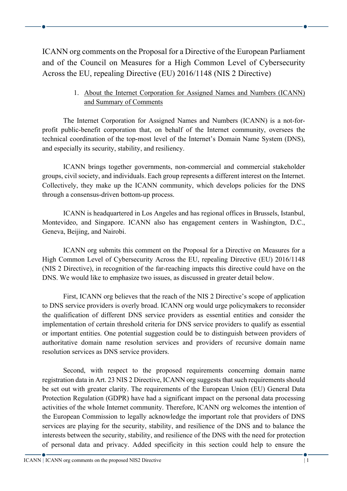ICANN org comments on the Proposal for a Directive of the European Parliament and of the Council on Measures for a High Common Level of Cybersecurity Across the EU, repealing Directive (EU) 2016/1148 (NIS 2 Directive)

> 1. About the Internet Corporation for Assigned Names and Numbers (ICANN) and Summary of Comments

The Internet Corporation for Assigned Names and Numbers (ICANN) is a not-forprofit public-benefit corporation that, on behalf of the Internet community, oversees the technical coordination of the top-most level of the Internet's Domain Name System (DNS), and especially its security, stability, and resiliency.

ICANN brings together governments, non-commercial and commercial stakeholder groups, civil society, and individuals. Each group represents a different interest on the Internet. Collectively, they make up the ICANN community, which develops policies for the DNS through a consensus-driven bottom-up process.

ICANN is headquartered in Los Angeles and has regional offices in Brussels, Istanbul, Montevideo, and Singapore. ICANN also has engagement centers in Washington, D.C., Geneva, Beijing, and Nairobi.

ICANN org submits this comment on the Proposal for a Directive on Measures for a High Common Level of Cybersecurity Across the EU, repealing Directive (EU) 2016/1148 (NIS 2 Directive), in recognition of the far-reaching impacts this directive could have on the DNS. We would like to emphasize two issues, as discussed in greater detail below.

First, ICANN org believes that the reach of the NIS 2 Directive's scope of application to DNS service providers is overly broad. ICANN org would urge policymakers to reconsider the qualification of different DNS service providers as essential entities and consider the implementation of certain threshold criteria for DNS service providers to qualify as essential or important entities. One potential suggestion could be to distinguish between providers of authoritative domain name resolution services and providers of recursive domain name resolution services as DNS service providers.

Second, with respect to the proposed requirements concerning domain name registration data in Art. 23 NIS 2 Directive, ICANN org suggests that such requirements should be set out with greater clarity. The requirements of the European Union (EU) General Data Protection Regulation (GDPR) have had a significant impact on the personal data processing activities of the whole Internet community. Therefore, ICANN org welcomes the intention of the European Commission to legally acknowledge the important role that providers of DNS services are playing for the security, stability, and resilience of the DNS and to balance the interests between the security, stability, and resilience of the DNS with the need for protection of personal data and privacy. Added specificity in this section could help to ensure the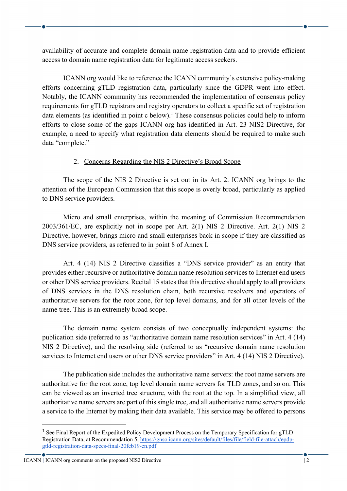availability of accurate and complete domain name registration data and to provide efficient access to domain name registration data for legitimate access seekers.

ICANN org would like to reference the ICANN community's extensive policy-making efforts concerning gTLD registration data, particularly since the GDPR went into effect. Notably, the ICANN community has recommended the implementation of consensus policy requirements for gTLD registrars and registry operators to collect a specific set of registration data elements (as identified in point c below).<sup>1</sup> These consensus policies could help to inform efforts to close some of the gaps ICANN org has identified in Art. 23 NIS2 Directive, for example, a need to specify what registration data elements should be required to make such data "complete."

#### 2. Concerns Regarding the NIS 2 Directive's Broad Scope

The scope of the NIS 2 Directive is set out in its Art. 2. ICANN org brings to the attention of the European Commission that this scope is overly broad, particularly as applied to DNS service providers.

Micro and small enterprises, within the meaning of Commission Recommendation 2003/361/EC, are explicitly not in scope per Art. 2(1) NIS 2 Directive. Art. 2(1) NIS 2 Directive, however, brings micro and small enterprises back in scope if they are classified as DNS service providers, as referred to in point 8 of Annex I.

Art. 4 (14) NIS 2 Directive classifies a "DNS service provider" as an entity that provides either recursive or authoritative domain name resolution services to Internet end users or other DNS service providers. Recital 15 states that this directive should apply to all providers of DNS services in the DNS resolution chain, both recursive resolvers and operators of authoritative servers for the root zone, for top level domains, and for all other levels of the name tree. This is an extremely broad scope.

The domain name system consists of two conceptually independent systems: the publication side (referred to as "authoritative domain name resolution services" in Art. 4 (14) NIS 2 Directive), and the resolving side (referred to as "recursive domain name resolution services to Internet end users or other DNS service providers" in Art. 4 (14) NIS 2 Directive).

The publication side includes the authoritative name servers: the root name servers are authoritative for the root zone, top level domain name servers for TLD zones, and so on. This can be viewed as an inverted tree structure, with the root at the top. In a simplified view, all authoritative name servers are part of this single tree, and all authoritative name servers provide a service to the Internet by making their data available. This service may be offered to persons

<sup>&</sup>lt;sup>1</sup> See Final Report of the Expedited Policy Development Process on the Temporary Specification for gTLD Registration Data, at Recommendation 5, https://gnso.icann.org/sites/default/files/file/field-file-attach/epdpgtld-registration-data-specs-final-20feb19-en.pdf.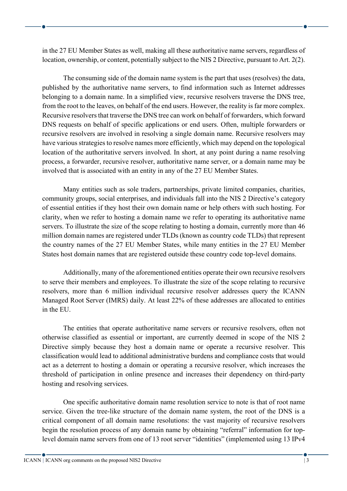in the 27 EU Member States as well, making all these authoritative name servers, regardless of location, ownership, or content, potentially subject to the NIS 2 Directive, pursuant to Art. 2(2).

The consuming side of the domain name system is the part that uses (resolves) the data, published by the authoritative name servers, to find information such as Internet addresses belonging to a domain name. In a simplified view, recursive resolvers traverse the DNS tree, from the root to the leaves, on behalf of the end users. However, the reality is far more complex. Recursive resolvers that traverse the DNS tree can work on behalf of forwarders, which forward DNS requests on behalf of specific applications or end users. Often, multiple forwarders or recursive resolvers are involved in resolving a single domain name. Recursive resolvers may have various strategies to resolve names more efficiently, which may depend on the topological location of the authoritative servers involved. In short, at any point during a name resolving process, a forwarder, recursive resolver, authoritative name server, or a domain name may be involved that is associated with an entity in any of the 27 EU Member States.

Many entities such as sole traders, partnerships, private limited companies, charities, community groups, social enterprises, and individuals fall into the NIS 2 Directive's category of essential entities if they host their own domain name or help others with such hosting. For clarity, when we refer to hosting a domain name we refer to operating its authoritative name servers. To illustrate the size of the scope relating to hosting a domain, currently more than 46 million domain names are registered under TLDs (known as country code TLDs) that represent the country names of the 27 EU Member States, while many entities in the 27 EU Member States host domain names that are registered outside these country code top-level domains.

Additionally, many of the aforementioned entities operate their own recursive resolvers to serve their members and employees. To illustrate the size of the scope relating to recursive resolvers, more than 6 million individual recursive resolver addresses query the ICANN Managed Root Server (IMRS) daily. At least 22% of these addresses are allocated to entities in the EU.

The entities that operate authoritative name servers or recursive resolvers, often not otherwise classified as essential or important, are currently deemed in scope of the NIS 2 Directive simply because they host a domain name or operate a recursive resolver. This classification would lead to additional administrative burdens and compliance costs that would act as a deterrent to hosting a domain or operating a recursive resolver, which increases the threshold of participation in online presence and increases their dependency on third-party hosting and resolving services.

One specific authoritative domain name resolution service to note is that of root name service. Given the tree-like structure of the domain name system, the root of the DNS is a critical component of all domain name resolutions: the vast majority of recursive resolvers begin the resolution process of any domain name by obtaining "referral" information for toplevel domain name servers from one of 13 root server "identities" (implemented using 13 IPv4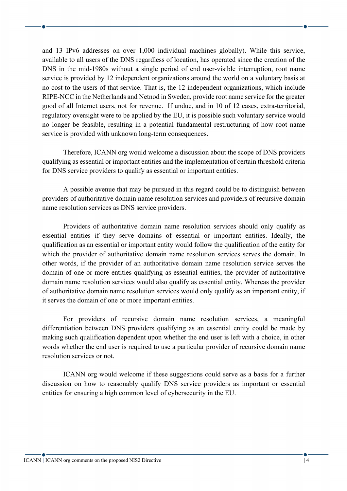and 13 IPv6 addresses on over 1,000 individual machines globally). While this service, available to all users of the DNS regardless of location, has operated since the creation of the DNS in the mid-1980s without a single period of end user-visible interruption, root name service is provided by 12 independent organizations around the world on a voluntary basis at no cost to the users of that service. That is, the 12 independent organizations, which include RIPE-NCC in the Netherlands and Netnod in Sweden, provide root name service for the greater good of all Internet users, not for revenue. If undue, and in 10 of 12 cases, extra-territorial, regulatory oversight were to be applied by the EU, it is possible such voluntary service would no longer be feasible, resulting in a potential fundamental restructuring of how root name service is provided with unknown long-term consequences.

Therefore, ICANN org would welcome a discussion about the scope of DNS providers qualifying as essential or important entities and the implementation of certain threshold criteria for DNS service providers to qualify as essential or important entities.

A possible avenue that may be pursued in this regard could be to distinguish between providers of authoritative domain name resolution services and providers of recursive domain name resolution services as DNS service providers.

Providers of authoritative domain name resolution services should only qualify as essential entities if they serve domains of essential or important entities. Ideally, the qualification as an essential or important entity would follow the qualification of the entity for which the provider of authoritative domain name resolution services serves the domain. In other words, if the provider of an authoritative domain name resolution service serves the domain of one or more entities qualifying as essential entities, the provider of authoritative domain name resolution services would also qualify as essential entity. Whereas the provider of authoritative domain name resolution services would only qualify as an important entity, if it serves the domain of one or more important entities.

For providers of recursive domain name resolution services, a meaningful differentiation between DNS providers qualifying as an essential entity could be made by making such qualification dependent upon whether the end user is left with a choice, in other words whether the end user is required to use a particular provider of recursive domain name resolution services or not.

ICANN org would welcome if these suggestions could serve as a basis for a further discussion on how to reasonably qualify DNS service providers as important or essential entities for ensuring a high common level of cybersecurity in the EU.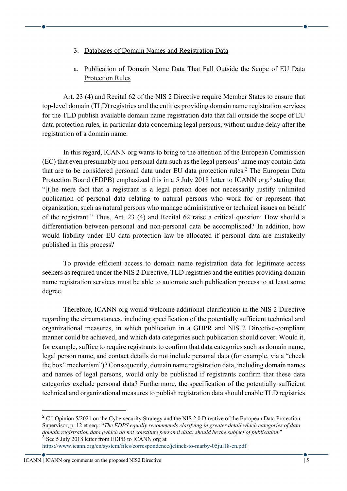- 3. Databases of Domain Names and Registration Data
- a. Publication of Domain Name Data That Fall Outside the Scope of EU Data Protection Rules

Art. 23 (4) and Recital 62 of the NIS 2 Directive require Member States to ensure that top-level domain (TLD) registries and the entities providing domain name registration services for the TLD publish available domain name registration data that fall outside the scope of EU data protection rules, in particular data concerning legal persons, without undue delay after the registration of a domain name.

In this regard, ICANN org wants to bring to the attention of the European Commission (EC) that even presumably non-personal data such as the legal persons' name may contain data that are to be considered personal data under EU data protection rules.2 The European Data Protection Board (EDPB) emphasized this in a 5 July 2018 letter to ICANN org,<sup>3</sup> stating that "[t]he mere fact that a registrant is a legal person does not necessarily justify unlimited publication of personal data relating to natural persons who work for or represent that organization, such as natural persons who manage administrative or technical issues on behalf of the registrant." Thus, Art. 23 (4) and Recital 62 raise a critical question: How should a differentiation between personal and non-personal data be accomplished? In addition, how would liability under EU data protection law be allocated if personal data are mistakenly published in this process?

To provide efficient access to domain name registration data for legitimate access seekers as required under the NIS 2 Directive, TLD registries and the entities providing domain name registration services must be able to automate such publication process to at least some degree.

Therefore, ICANN org would welcome additional clarification in the NIS 2 Directive regarding the circumstances, including specification of the potentially sufficient technical and organizational measures, in which publication in a GDPR and NIS 2 Directive-compliant manner could be achieved, and which data categories such publication should cover. Would it, for example, suffice to require registrants to confirm that data categories such as domain name, legal person name, and contact details do not include personal data (for example, via a "check the box" mechanism")? Consequently, domain name registration data, including domain names and names of legal persons, would only be published if registrants confirm that these data categories exclude personal data? Furthermore, the specification of the potentially sufficient technical and organizational measures to publish registration data should enable TLD registries

<sup>&</sup>lt;sup>2</sup> Cf. Opinion 5/2021 on the Cybersecurity Strategy and the NIS 2.0 Directive of the European Data Protection Supervisor, p. 12 et seq.: "*The EDPS equally recommends clarifying in greater detail which categories of data domain registration data (which do not constitute personal data) should be the subject of publication.*" <sup>3</sup> See 5 July 2018 letter from EDPB to ICANN org at

https://www.icann.org/en/system/files/correspondence/jelinek-to-marby-05jul18-en.pdf.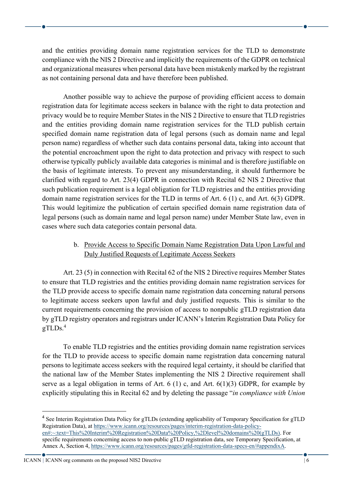and the entities providing domain name registration services for the TLD to demonstrate compliance with the NIS 2 Directive and implicitly the requirements of the GDPR on technical and organizational measures when personal data have been mistakenly marked by the registrant as not containing personal data and have therefore been published.

Another possible way to achieve the purpose of providing efficient access to domain registration data for legitimate access seekers in balance with the right to data protection and privacy would be to require Member States in the NIS 2 Directive to ensure that TLD registries and the entities providing domain name registration services for the TLD publish certain specified domain name registration data of legal persons (such as domain name and legal person name) regardless of whether such data contains personal data, taking into account that the potential encroachment upon the right to data protection and privacy with respect to such otherwise typically publicly available data categories is minimal and is therefore justifiable on the basis of legitimate interests. To prevent any misunderstanding, it should furthermore be clarified with regard to Art. 23(4) GDPR in connection with Recital 62 NIS 2 Directive that such publication requirement is a legal obligation for TLD registries and the entities providing domain name registration services for the TLD in terms of Art. 6 (1) c, and Art. 6(3) GDPR. This would legitimize the publication of certain specified domain name registration data of legal persons (such as domain name and legal person name) under Member State law, even in cases where such data categories contain personal data.

### b. Provide Access to Specific Domain Name Registration Data Upon Lawful and Duly Justified Requests of Legitimate Access Seekers

Art. 23 (5) in connection with Recital 62 of the NIS 2 Directive requires Member States to ensure that TLD registries and the entities providing domain name registration services for the TLD provide access to specific domain name registration data concerning natural persons to legitimate access seekers upon lawful and duly justified requests. This is similar to the current requirements concerning the provision of access to nonpublic gTLD registration data by gTLD registry operators and registrars under ICANN's Interim Registration Data Policy for  $gTLDs.<sup>4</sup>$ 

To enable TLD registries and the entities providing domain name registration services for the TLD to provide access to specific domain name registration data concerning natural persons to legitimate access seekers with the required legal certainty, it should be clarified that the national law of the Member States implementing the NIS 2 Directive requirement shall serve as a legal obligation in terms of Art. 6 (1) c, and Art.  $6(1)(3)$  GDPR, for example by explicitly stipulating this in Recital 62 and by deleting the passage "*in compliance with Union* 

<sup>&</sup>lt;sup>4</sup> See Interim Registration Data Policy for gTLDs (extending applicability of Temporary Specification for gTLD Registration Data), at https://www.icann.org/resources/pages/interim-registration-data-policyen#:~:text=This%20Interim%20Registration%20Data%20Policy,%2Dlevel%20domains%20(gTLDs). For specific requirements concerning access to non-public gTLD registration data, see Temporary Specification, at Annex A, Section 4, https://www.icann.org/resources/pages/gtld-registration-data-specs-en/#appendixA.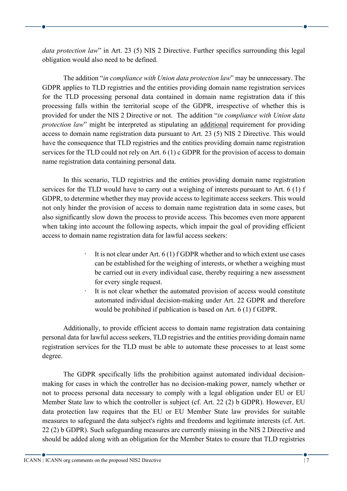*data protection law*" in Art. 23 (5) NIS 2 Directive. Further specifics surrounding this legal obligation would also need to be defined.

The addition "*in compliance with Union data protection law*" may be unnecessary. The GDPR applies to TLD registries and the entities providing domain name registration services for the TLD processing personal data contained in domain name registration data if this processing falls within the territorial scope of the GDPR, irrespective of whether this is provided for under the NIS 2 Directive or not. The addition "*in compliance with Union data protection law*" might be interpreted as stipulating an additional requirement for providing access to domain name registration data pursuant to Art. 23 (5) NIS 2 Directive. This would have the consequence that TLD registries and the entities providing domain name registration services for the TLD could not rely on Art. 6 (1) c GDPR for the provision of access to domain name registration data containing personal data.

In this scenario, TLD registries and the entities providing domain name registration services for the TLD would have to carry out a weighing of interests pursuant to Art. 6 (1) f GDPR, to determine whether they may provide access to legitimate access seekers. This would not only hinder the provision of access to domain name registration data in some cases, but also significantly slow down the process to provide access. This becomes even more apparent when taking into account the following aspects, which impair the goal of providing efficient access to domain name registration data for lawful access seekers:

- $\cdot$  It is not clear under Art. 6 (1) f GDPR whether and to which extent use cases can be established for the weighing of interests, or whether a weighing must be carried out in every individual case, thereby requiring a new assessment for every single request.
- It is not clear whether the automated provision of access would constitute automated individual decision-making under Art. 22 GDPR and therefore would be prohibited if publication is based on Art. 6 (1) f GDPR.

Additionally, to provide efficient access to domain name registration data containing personal data for lawful access seekers, TLD registries and the entities providing domain name registration services for the TLD must be able to automate these processes to at least some degree.

The GDPR specifically lifts the prohibition against automated individual decisionmaking for cases in which the controller has no decision-making power, namely whether or not to process personal data necessary to comply with a legal obligation under EU or EU Member State law to which the controller is subject (cf. Art. 22 (2) b GDPR). However, EU data protection law requires that the EU or EU Member State law provides for suitable measures to safeguard the data subject's rights and freedoms and legitimate interests (cf. Art. 22 (2) b GDPR). Such safeguarding measures are currently missing in the NIS 2 Directive and should be added along with an obligation for the Member States to ensure that TLD registries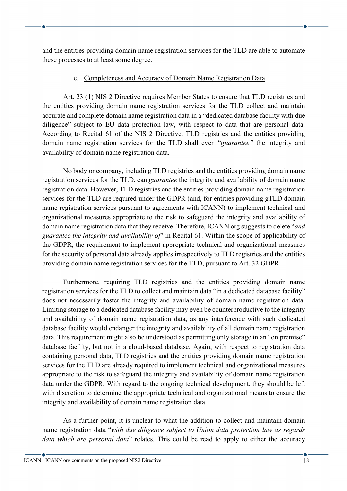and the entities providing domain name registration services for the TLD are able to automate these processes to at least some degree.

#### c. Completeness and Accuracy of Domain Name Registration Data

Art. 23 (1) NIS 2 Directive requires Member States to ensure that TLD registries and the entities providing domain name registration services for the TLD collect and maintain accurate and complete domain name registration data in a "dedicated database facility with due diligence" subject to EU data protection law, with respect to data that are personal data. According to Recital 61 of the NIS 2 Directive, TLD registries and the entities providing domain name registration services for the TLD shall even "*guarantee"* the integrity and availability of domain name registration data.

No body or company, including TLD registries and the entities providing domain name registration services for the TLD, can *guarantee* the integrity and availability of domain name registration data. However, TLD registries and the entities providing domain name registration services for the TLD are required under the GDPR (and, for entities providing gTLD domain name registration services pursuant to agreements with ICANN) to implement technical and organizational measures appropriate to the risk to safeguard the integrity and availability of domain name registration data that they receive. Therefore, ICANN org suggests to delete "*and guarantee the integrity and availability of*" in Recital 61. Within the scope of applicability of the GDPR, the requirement to implement appropriate technical and organizational measures for the security of personal data already applies irrespectively to TLD registries and the entities providing domain name registration services for the TLD, pursuant to Art. 32 GDPR.

Furthermore, requiring TLD registries and the entities providing domain name registration services for the TLD to collect and maintain data "in a dedicated database facility" does not necessarily foster the integrity and availability of domain name registration data. Limiting storage to a dedicated database facility may even be counterproductive to the integrity and availability of domain name registration data, as any interference with such dedicated database facility would endanger the integrity and availability of all domain name registration data. This requirement might also be understood as permitting only storage in an "on premise" database facility, but not in a cloud-based database. Again, with respect to registration data containing personal data, TLD registries and the entities providing domain name registration services for the TLD are already required to implement technical and organizational measures appropriate to the risk to safeguard the integrity and availability of domain name registration data under the GDPR. With regard to the ongoing technical development, they should be left with discretion to determine the appropriate technical and organizational means to ensure the integrity and availability of domain name registration data.

As a further point, it is unclear to what the addition to collect and maintain domain name registration data "*with due diligence subject to Union data protection law as regards data which are personal data*" relates. This could be read to apply to either the accuracy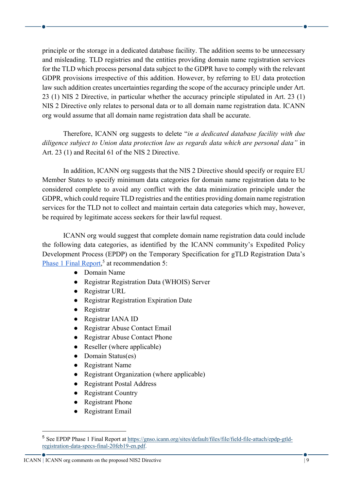principle or the storage in a dedicated database facility. The addition seems to be unnecessary and misleading. TLD registries and the entities providing domain name registration services for the TLD which process personal data subject to the GDPR have to comply with the relevant GDPR provisions irrespective of this addition. However, by referring to EU data protection law such addition creates uncertainties regarding the scope of the accuracy principle under Art. 23 (1) NIS 2 Directive, in particular whether the accuracy principle stipulated in Art. 23 (1) NIS 2 Directive only relates to personal data or to all domain name registration data. ICANN org would assume that all domain name registration data shall be accurate.

Therefore, ICANN org suggests to delete "*in a dedicated database facility with due diligence subject to Union data protection law as regards data which are personal data"* in Art. 23 (1) and Recital 61 of the NIS 2 Directive.

In addition, ICANN org suggests that the NIS 2 Directive should specify or require EU Member States to specify minimum data categories for domain name registration data to be considered complete to avoid any conflict with the data minimization principle under the GDPR, which could require TLD registries and the entities providing domain name registration services for the TLD not to collect and maintain certain data categories which may, however, be required by legitimate access seekers for their lawful request.

ICANN org would suggest that complete domain name registration data could include the following data categories, as identified by the ICANN community's Expedited Policy Development Process (EPDP) on the Temporary Specification for gTLD Registration Data's Phase 1 Final Report,<sup>5</sup> at recommendation 5:

- Domain Name
- Registrar Registration Data (WHOIS) Server
- Registrar URL
- Registrar Registration Expiration Date
- Registrar
- Registrar IANA ID
- Registrar Abuse Contact Email
- Registrar Abuse Contact Phone
- Reseller (where applicable)
- Domain Status(es)
- Registrant Name
- Registrant Organization (where applicable)
- Registrant Postal Address
- Registrant Country
- Registrant Phone
- **Registrant Email**

<sup>5</sup> See EPDP Phase 1 Final Report at https://gnso.icann.org/sites/default/files/file/field-file-attach/epdp-gtldregistration-data-specs-final-20feb19-en.pdf.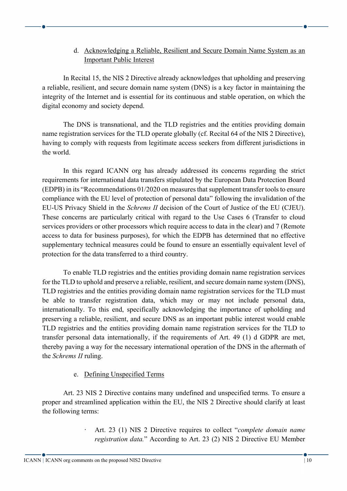# d. Acknowledging a Reliable, Resilient and Secure Domain Name System as an Important Public Interest

In Recital 15, the NIS 2 Directive already acknowledges that upholding and preserving a reliable, resilient, and secure domain name system (DNS) is a key factor in maintaining the integrity of the Internet and is essential for its continuous and stable operation, on which the digital economy and society depend.

The DNS is transnational, and the TLD registries and the entities providing domain name registration services for the TLD operate globally (cf. Recital 64 of the NIS 2 Directive), having to comply with requests from legitimate access seekers from different jurisdictions in the world.

In this regard ICANN org has already addressed its concerns regarding the strict requirements for international data transfers stipulated by the European Data Protection Board (EDPB) in its "Recommendations 01/2020 on measures that supplement transfer tools to ensure compliance with the EU level of protection of personal data" following the invalidation of the EU-US Privacy Shield in the *Schrems II* decision of the Court of Justice of the EU (CJEU). These concerns are particularly critical with regard to the Use Cases 6 (Transfer to cloud services providers or other processors which require access to data in the clear) and 7 (Remote access to data for business purposes), for which the EDPB has determined that no effective supplementary technical measures could be found to ensure an essentially equivalent level of protection for the data transferred to a third country.

To enable TLD registries and the entities providing domain name registration services for the TLD to uphold and preserve a reliable, resilient, and secure domain name system (DNS), TLD registries and the entities providing domain name registration services for the TLD must be able to transfer registration data, which may or may not include personal data, internationally. To this end, specifically acknowledging the importance of upholding and preserving a reliable, resilient, and secure DNS as an important public interest would enable TLD registries and the entities providing domain name registration services for the TLD to transfer personal data internationally, if the requirements of Art. 49 (1) d GDPR are met, thereby paving a way for the necessary international operation of the DNS in the aftermath of the *Schrems II* ruling.

# e. Defining Unspecified Terms

Art. 23 NIS 2 Directive contains many undefined and unspecified terms. To ensure a proper and streamlined application within the EU, the NIS 2 Directive should clarify at least the following terms:

> · Art. 23 (1) NIS 2 Directive requires to collect "*complete domain name registration data.*" According to Art. 23 (2) NIS 2 Directive EU Member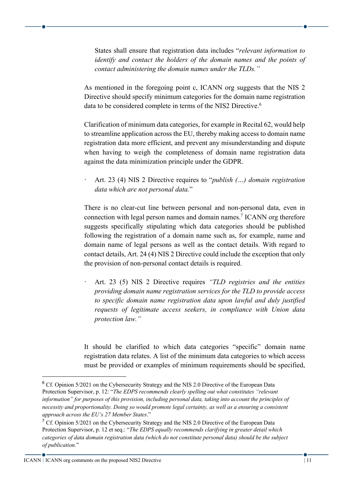States shall ensure that registration data includes "*relevant information to identify and contact the holders of the domain names and the points of contact administering the domain names under the TLDs."*

As mentioned in the foregoing point c, ICANN org suggests that the NIS 2 Directive should specify minimum categories for the domain name registration data to be considered complete in terms of the NIS2 Directive.<sup>6</sup>

Clarification of minimum data categories, for example in Recital 62, would help to streamline application across the EU, thereby making access to domain name registration data more efficient, and prevent any misunderstanding and dispute when having to weigh the completeness of domain name registration data against the data minimization principle under the GDPR.

· Art. 23 (4) NIS 2 Directive requires to "*publish (…) domain registration data which are not personal data.*"

There is no clear-cut line between personal and non-personal data, even in connection with legal person names and domain names.<sup>7</sup> ICANN org therefore suggests specifically stipulating which data categories should be published following the registration of a domain name such as, for example, name and domain name of legal persons as well as the contact details. With regard to contact details, Art. 24 (4) NIS 2 Directive could include the exception that only the provision of non-personal contact details is required.

· Art. 23 (5) NIS 2 Directive requires *"TLD registries and the entities providing domain name registration services for the TLD to provide access to specific domain name registration data upon lawful and duly justified requests of legitimate access seekers, in compliance with Union data protection law."*

It should be clarified to which data categories "specific" domain name registration data relates. A list of the minimum data categories to which access must be provided or examples of minimum requirements should be specified,

<sup>&</sup>lt;sup>6</sup> Cf. Opinion 5/2021 on the Cybersecurity Strategy and the NIS 2.0 Directive of the European Data Protection Supervisor, p. 12: "*The EDPS recommends clearly spelling out what constitutes "relevant information" for purposes of this provision, including personal data, taking into account the principles of necessity and proportionality. Doing so would promote legal certainty, as well as a ensuring a consistent approach across the EU's 27 Member States*."

<sup>&</sup>lt;sup>7</sup> Cf. Opinion 5/2021 on the Cybersecurity Strategy and the NIS 2.0 Directive of the European Data Protection Supervisor, p. 12 et seq.: "*The EDPS equally recommends clarifying in greater detail which categories of data domain registration data (which do not constitute personal data) should be the subject of publication.*"